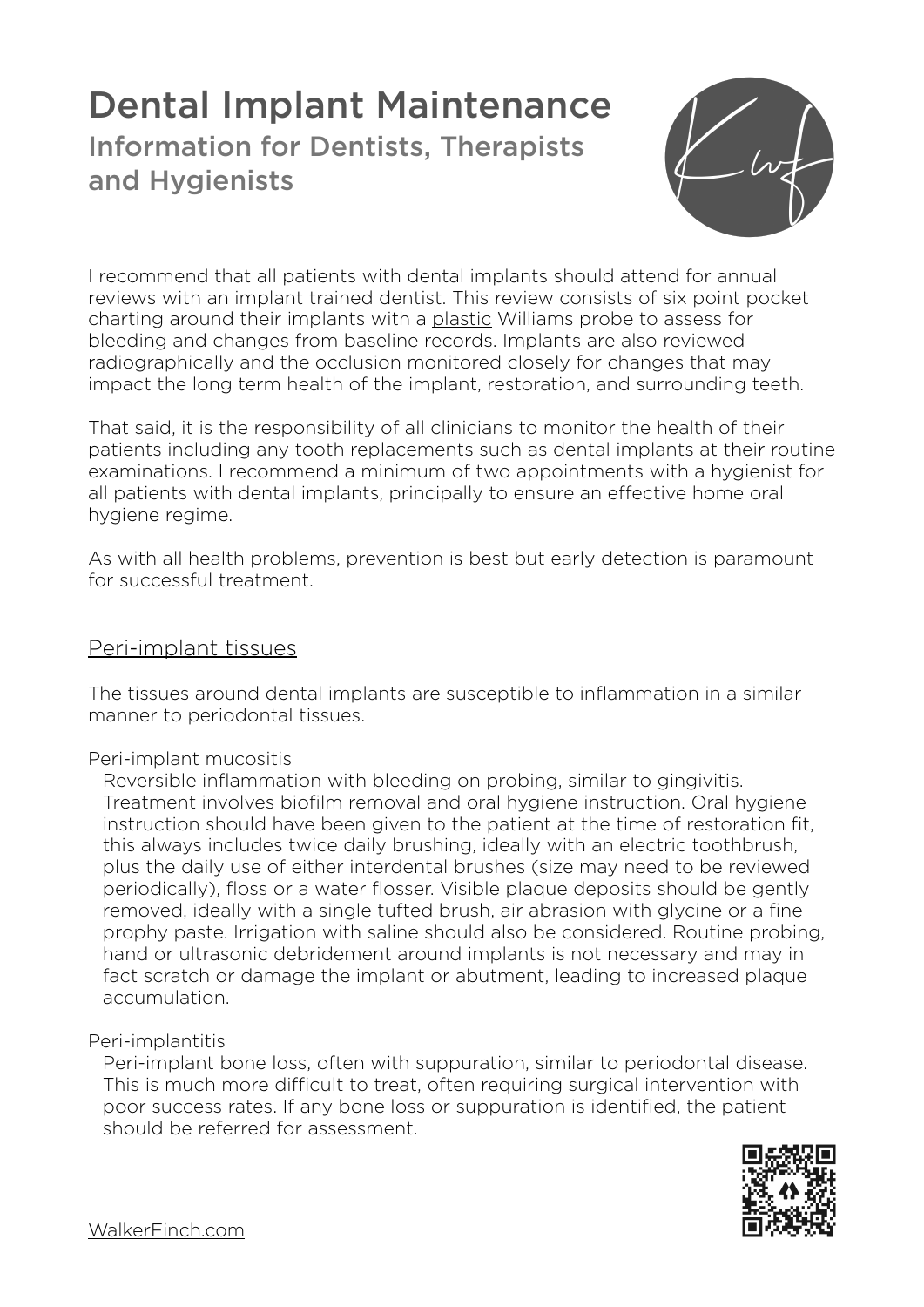# Dental Implant Maintenance Information for Dentists, Therapists and Hygienists



I recommend that all patients with dental implants should attend for annual reviews with an implant trained dentist. This review consists of six point pocket charting around their implants with a plastic Williams probe to assess for bleeding and changes from baseline records. Implants are also reviewed radiographically and the occlusion monitored closely for changes that may impact the long term health of the implant, restoration, and surrounding teeth.

That said, it is the responsibility of all clinicians to monitor the health of their patients including any tooth replacements such as dental implants at their routine examinations. I recommend a minimum of two appointments with a hygienist for all patients with dental implants, principally to ensure an effective home oral hygiene regime.

As with all health problems, prevention is best but early detection is paramount for successful treatment.

## Peri-implant tissues

The tissues around dental implants are susceptible to inflammation in a similar manner to periodontal tissues.

## Peri-implant mucositis

Reversible inflammation with bleeding on probing, similar to gingivitis. Treatment involves biofilm removal and oral hygiene instruction. Oral hygiene instruction should have been given to the patient at the time of restoration fit, this always includes twice daily brushing, ideally with an electric toothbrush, plus the daily use of either interdental brushes (size may need to be reviewed periodically), floss or a water flosser. Visible plaque deposits should be gently removed, ideally with a single tufted brush, air abrasion with glycine or a fine prophy paste. Irrigation with saline should also be considered. Routine probing, hand or ultrasonic debridement around implants is not necessary and may in fact scratch or damage the implant or abutment, leading to increased plaque accumulation.

## Peri-implantitis

Peri-implant bone loss, often with suppuration, similar to periodontal disease. This is much more difficult to treat, often requiring surgical intervention with poor success rates. If any bone loss or suppuration is identified, the patient should be referred for assessment.